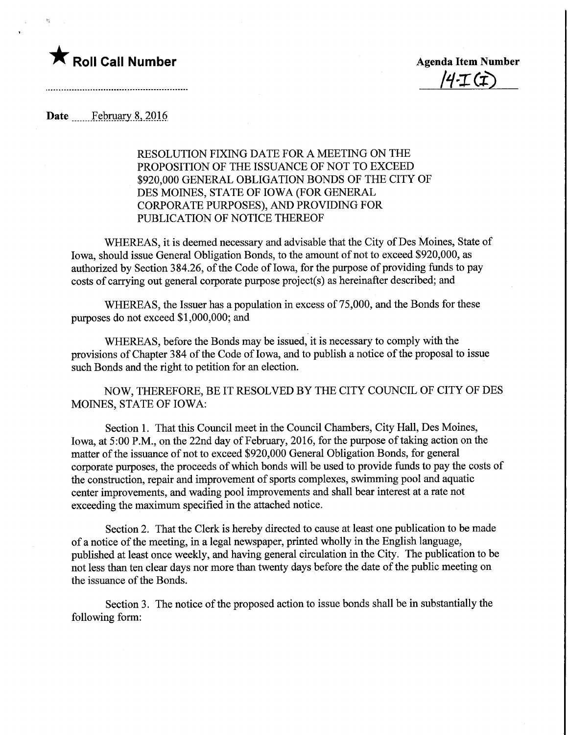

 $\Sigma_1^{\prime}$ 

 $4T(f)$ 

Date ............February 8, 2016

RESOLUTION FIXING DATE FOR A MEETING ON THE PROPOSITION OF THE ISSUANCE OF NOT TO EXCEED \$920,000 GENERAL OBLIGATION BONDS OF THE CITY OF DES MOINES, STATE OF IOWA (FOR GENERAL CORPORATE PURPOSES), AND PROVIDING FOR PUBLICATION OF NOTICE THEREOF

WHEREAS, it is deemed necessary and advisable that the City of Des Moines, State of Iowa, should issue General Obligation Bonds, to the amount of not to exceed \$920,000, as authorized by Section 384.26, of the Code of Iowa, for the purpose of providing funds to pay costs of carrying out general corporate purpose project(s) as hereinafter described; and

WHEREAS, the Issuer has a population in excess of 75,000, and the Bonds for these purposes do not exceed \$1,000,000; and

WHEREAS, before the Bonds may be issued, it is necessary to comply with the provisions of Chapter 384 of the Code of Iowa, and to publish a notice of the proposal to issue such Bonds and the right to petition for an election.

NOW, THEREFORE, BE IT RESOLVED BY THE CITY COUNCIL OF CITY OF DES MOINES, STATE OF IOWA:

Section 1. That this Council meet in the Council Chambers, City Hall, Des Moines, Iowa, at 5:00 P.M., on the 22nd day of February, 2016, for the purpose of taking action on the matter of the issuance of not to exceed \$920,000 General Obligation Bonds, for general corporate purposes, the proceeds of which bonds will be used to provide funds to pay the costs of the construction, repair and improvement of sports complexes, swimming pool and aquatic center improvements, and wading pool improvements and shall bear interest at a rate not exceeding the maximum specified in the attached notice.

Section 2. That the Clerk is hereby directed to cause at least one publication to be made of a notice of the meeting, in a legal newspaper, printed wholly in the English language, published at least once weekly, and having general circulation in the City. The publication to be not less than ten clear days nor more than twenty days before the date of the public meeting on the issuance of the Bonds.

Section 3. The notice of the proposed action to issue bonds shall be in substantially the following form: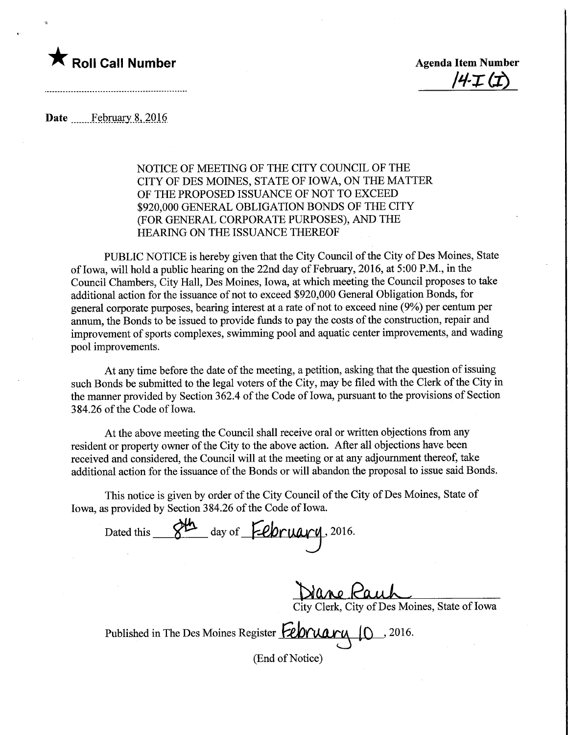

<u>'4·I (I)</u>

Date February 8, 2016

## NOTICE OF MEETING OF THE CITY COUNCIL OF THE CITY OF DES MOINES, STATE OF IOWA, ON THE MATTER OF THE PROPOSED ISSUANCE OF NOT TO EXCEED \$920,000 GENERAL OBLIGATION BONDS OF THE CITY (FOR GENERAL CORPORATE PURPOSES), AND THE HEARING ON THE ISSUANCE THEREOF

PUBLIC NOTICE is hereby given that the City Council of the City of Des Moines, State of Iowa, will hold a public hearing on the 22nd day of February, 2016, at 5:00 P.M., in the Council Chambers, City Hall, Des Moines, Iowa, at which meeting the Council proposes to take additional action for the issuance of not to exceed \$920,000 General Obligation Bonds, for general corporate purposes, bearing interest at a rate of not to exceed nine (9%) per centum per annum, the Bonds to be issued to provide funds to pay the costs of the construction, repair and improvement of sports complexes, swimming pool and aquatic center improvements, and wading pool improvements.

At any time before the date of the meeting, a petition, asking that the question of issuing such Bonds be submitted to the legal voters of the City, may be filed with the Clerk of the City in the manner provided by Section 362.4 of the Code of Iowa, pursuant to the provisions of Section 384.26 of the Code of Iowa.

At the above meeting the Council shall receive oral or written objections from any resident or property owner of the City to the above action. After all objections have been received and considered, the Council will at the meeting or at any adjournment thereof, take additional action for the issuance of the Bonds or will abandon the proposal to issue said Bonds.

This notice is given by order of the City Council of the City of Des Moines, State of Iowa, as provided by Section 384.26 of the Code of Iowa.

Dated this <u>Sta</u> day of **February**, 2016.

<u>ane Kauh</u>

City Clerk, City of Des Moines, State of Iowa

Published in The Des Moines Register February

(End of Notice)